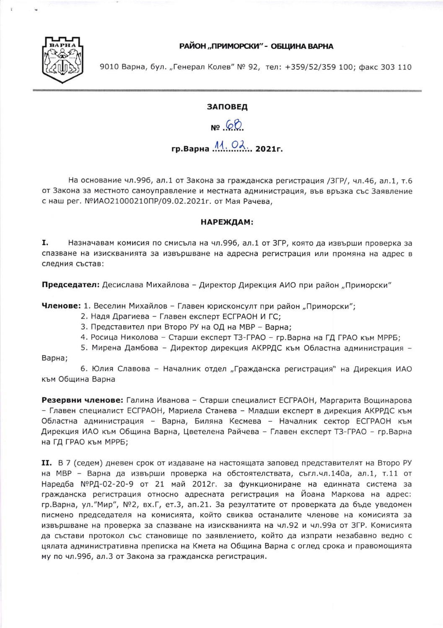## РАЙОН "ПРИМОРСКИ" - ОБШИНА ВАРНА



9010 Варна, бул. "Генерал Колев" № 92, тел: +359/52/359 100; факс 303 110

## **ЗАПОВЕД**

Nº 68

## 

На основание чл.996, ал.1 от Закона за гражданска регистрация /ЗГР/, чл.46, ал.1, т.6 от Закона за местното самоуправление и местната администрация, във връзка със Заявление с наш рег. №ИАО21000210ПР/09.02.2021г. от Мая Рачева,

## НАРЕЖДАМ:

I. Назначавам комисия по смисъла на чл.996, ал.1 от ЗГР, която да извърши проверка за спазване на изискванията за извършване на адресна регистрация или промяна на адрес в следния състав:

Председател: Десислава Михайлова - Директор Дирекция АИО при район "Приморски"

Членове: 1. Веселин Михайлов - Главен юрисконсулт при район "Приморски";

- 2. Надя Драгиева Главен експерт ЕСГРАОН И ГС;
- 3. Представител при Второ РУ на ОД на МВР Варна;

4. Росица Николова - Старши експерт ТЗ-ГРАО - гр. Варна на ГД ГРАО към МРРБ;

5. Мирена Дамбова - Директор дирекция АКРРДС към Областна администрация -

Варна;

6. Юлия Славова - Началник отдел "Гражданска регистрация" на Дирекция ИАО към Община Варна

Резервни членове: Галина Иванова - Старши специалист ЕСГРАОН, Маргарита Вощинарова - Главен специалист ЕСГРАОН, Мариела Станева - Младши експерт в дирекция АКРРДС към Областна администрация - Варна, Биляна Кесмева - Началник сектор ЕСГРАОН към Дирекция ИАО към Община Варна, Цветелена Райчева – Главен експерт ТЗ-ГРАО – гр.Варна на ГД ГРАО към МРРБ;

II. В 7 (седем) дневен срок от издаване на настоящата заповед представителят на Второ РУ на МВР - Варна да извърши проверка на обстоятелствата, съгл.чл.140а, ал.1, т.11 от Наредба №РД-02-20-9 от 21 май 2012г. за функциониране на единната система за гражданска регистрация относно адресната регистрация на Йоана Маркова на адрес: гр.Варна, ул."Мир", №2, вх.Г, ет.3, ап.21. За резултатите от проверката да бъде уведомен писмено председателя на комисията, който свиква останалите членове на комисията за извършване на проверка за спазване на изискванията на чл.92 и чл.99а от ЗГР. Комисията да състави протокол със становище по заявлението, който да изпрати незабавно ведно с цялата административна преписка на Кмета на Община Варна с оглед срока и правомощията му по чл.996, ал.3 от Закона за гражданска регистрация.